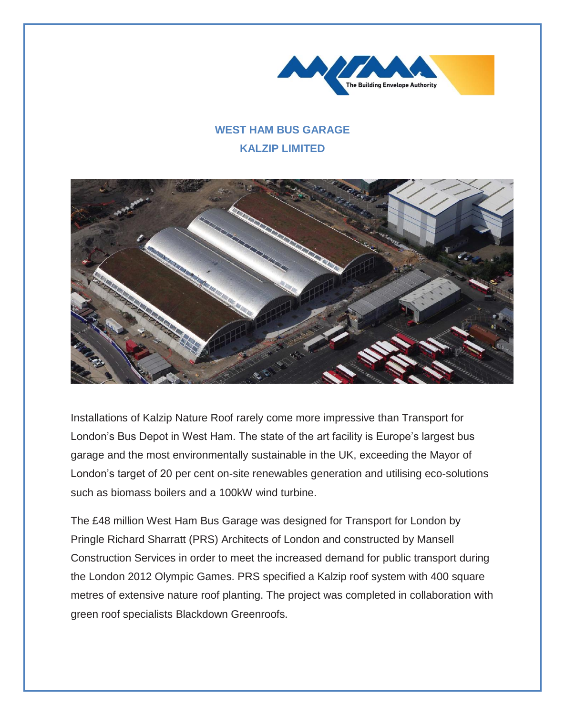

## **WEST HAM BUS GARAGE KALZIP LIMITED**



Installations of Kalzip Nature Roof rarely come more impressive than Transport for London's Bus Depot in West Ham. The state of the art facility is Europe's largest bus garage and the most environmentally sustainable in the UK, exceeding the Mayor of London's target of 20 per cent on-site renewables generation and utilising eco-solutions such as biomass boilers and a 100kW wind turbine.

The £48 million West Ham Bus Garage was designed for Transport for London by Pringle Richard Sharratt (PRS) Architects of London and constructed by Mansell Construction Services in order to meet the increased demand for public transport during the London 2012 Olympic Games. PRS specified a Kalzip roof system with 400 square metres of extensive nature roof planting. The project was completed in collaboration with green roof specialists Blackdown Greenroofs.